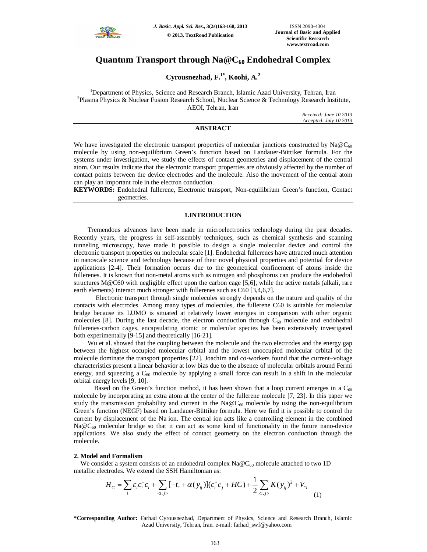

# **Quantum Transport through Na@C<sup>60</sup> Endohedral Complex**

**Cyrousnezhad, F.1\*, Koohi, A. 2**

<sup>1</sup>Department of Physics, Science and Research Branch, Islamic Azad University, Tehran, Iran <sup>2</sup>Plasma Physics & Nuclear Fusion Research School, Nuclear Science & Technology Research Institute, AEOI, Tehran, Iran

> *Received: June 10 2013 Accepted: July 10 2013*

## **ABSTRACT**

We have investigated the electronic transport properties of molecular junctions constructed by  $Na@C_{60}$ molecule by using non-equilibrium Green's function based on Landauer-Büttiker formula. For the systems under investigation, we study the effects of contact geometries and displacement of the central atom. Our results indicate that the electronic transport properties are obviously affected by the number of contact points between the device electrodes and the molecule. Also the movement of the central atom can play an important role in the electron conduction.

**KEYWORDS:** Endohedral fullerene, Electronic transport, Non-equilibrium Green's function, Contact geometries.

## **1.INTRODUCTION**

Tremendous advances have been made in microelectronics technology during the past decades. Recently years, the progress in self-assembly techniques, such as chemical synthesis and scanning tunneling microscopy, have made it possible to design a single molecular device and control the electronic transport properties on molecular scale [1]. Endohedral fullerenes have attracted much attention in nanoscale science and technology because of their novel physical properties and potential for device applications [2-4]. Their formation occurs due to the geometrical confinement of atoms inside the fullerenes. It is known that non-metal atoms such as nitrogen and phosphorus can produce the endohedral structures M@C60 with negligible effect upon the carbon cage [5,6], while the active metals (alkali, rare earth elements) interact much stronger with fullerenes such as C60 [3,4,6,7].

 Electronic transport through single molecules strongly depends on the nature and quality of the contacts with electrodes. Among many types of molecules, the fullerene C60 is suitable for molecular bridge because its LUMO is situated at relatively lower energies in comparison with other organic molecules [8]. During the last decade, the electron conduction through  $C_{60}$  molecule and endohedral fullerenes-carbon cages, encapsulating atomic or molecular species has been extensively investigated both experimentally [9-15] and theoretically [16-21].

Wu et al. showed that the coupling between the molecule and the two electrodes and the energy gap between the highest occupied molecular orbital and the lowest unoccupied molecular orbital of the molecule dominate the transport properties [22]. Joachim and co-workers found that the current–voltage characteristics present a linear behavior at low bias due to the absence of molecular orbitals around Fermi energy, and squeezing a  $C_{60}$  molecule by applying a small force can result in a shift in the molecular orbital energy levels [9, 10].

Based on the Green's function method, it has been shown that a loop current emerges in a  $C_{60}$ molecule by incorporating an extra atom at the center of the fullerene molecule [7, 23]. In this paper we study the transmission probability and current in the  $Na@C_{60}$  molecule by using the non-equilibrium Green's function (NEGF) based on Landauer-Büttiker formula. Here we find it is possible to control the current by displacement of the Na ion. The central ion acts like a controlling element in the combined Na $@C_{60}$  molecular bridge so that it can act as some kind of functionality in the future nano-device applications. We also study the effect of contact geometry on the electron conduction through the molecule.

### **2. Model and Formalism**

We consider a system consists of an endohedral complex  $Na@C_{60}$  molecule attached to two 1D metallic electrodes. We extend the SSH Hamiltonian as:

$$
H_C = \sum_i \varepsilon_i c_i^+ c_i + \sum_{\langle i,j \rangle} [-t \cdot + \alpha(y_{ij})](c_i^+ c_j + HC) + \frac{1}{2} \sum_{\langle i,j \rangle} K(y_{ij})^2 + V_{\circ i}
$$
\n(1)

**<sup>\*</sup>Corresponding Author:** Farhad Cyrousnezhad, Department of Physics, Science and Research Branch, Islamic Azad University, Tehran, Iran. e-mail: farhad\_swf@yahoo.com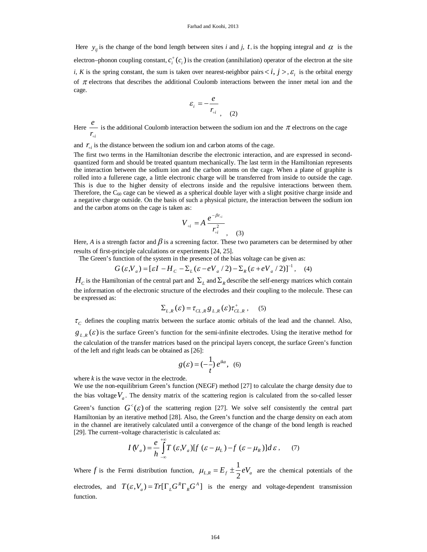Here  $y_{ij}$  is the change of the bond length between sites *i* and *j*,  $t_{\circ}$  is the hopping integral and  $\alpha$  is the electron–phonon coupling constant,  $c_i^+(c_i)$  is the creation (annihilation) operator of the electron at the site *i*, *K* is the spring constant, the sum is taken over nearest-neighbor pairs  $\langle i, j \rangle$ ,  $\varepsilon_i$  is the orbital energy of  $\pi$  electrons that describes the additional Coulomb interactions between the inner metal ion and the cage.

$$
\varepsilon_i = -\frac{e}{r_{\rm o i}} \tag{2}
$$

Here *e i*  $\frac{1}{r_{\circ i}}$  is the additional Coulomb interaction between the sodium ion and the  $\pi$  electrons on the cage

and  $r_{\alpha i}$  is the distance between the sodium ion and carbon atoms of the cage.

The first two terms in the Hamiltonian describe the electronic interaction, and are expressed in secondquantized form and should be treated quantum mechanically. The last term in the Hamiltonian represents the interaction between the sodium ion and the carbon atoms on the cage. When a plane of graphite is rolled into a fullerene cage, a little electronic charge will be transferred from inside to outside the cage. This is due to the higher density of electrons inside and the repulsive interactions between them. Therefore, the  $C_{60}$  cage can be viewed as a spherical double layer with a slight positive charge inside and a negative charge outside. On the basis of such a physical picture, the interaction between the sodium ion and the carbon atoms on the cage is taken as:

$$
V_{\circ i} = A \frac{e^{-\beta r_{\circ i}}}{r_{\circ i}^2}
$$

Here, *A* is a strength factor and  $\beta$  is a screening factor. These two parameters can be determined by other results of first-principle calculations or experiments [24, 25].

 $(3)$ 

The Green's function of the system in the presence of the bias voltage can be given as:

$$
G(\varepsilon, V_a) = [\varepsilon I - H_c - \Sigma_L (\varepsilon - eV_a / 2) - \Sigma_R (\varepsilon + eV_a / 2)]^{-1}, \quad (4)
$$

 $H_c$  is the Hamiltonian of the central part and  $\Sigma_L$  and  $\Sigma_R$  describe the self-energy matrices which contain the information of the electronic structure of the electrodes and their coupling to the molecule. These can be expressed as:

$$
\Sigma_{L,R}(\varepsilon) = \tau_{CL,R} g_{L,R}(\varepsilon) \tau_{CL,R}^+, \quad (5)
$$

 $\tau_c$  defines the coupling matrix between the surface atomic orbitals of the lead and the channel. Also,  $g_{L,R}(\varepsilon)$  is the surface Green's function for the semi-infinite electrodes. Using the iterative method for the calculation of the transfer matrices based on the principal layers concept, the surface Green's function of the left and right leads can be obtained as [26]:

$$
g(\varepsilon) = \left(-\frac{1}{t}\right)e^{ika}, \quad (6)
$$

where  $k$  is the wave vector in the electrode.

We use the non-equilibrium Green's function (NEGF) method [27] to calculate the charge density due to the bias voltage  $V_a$ . The density matrix of the scattering region is calculated from the so-called lesser Green's function  $G<sup>0</sup>(\varepsilon)$  of the scattering region [27]. We solve self consistently the central part Hamiltonian by an iterative method [28]. Also, the Green's function and the charge density on each atom in the channel are iteratively calculated until a convergence of the change of the bond length is reached [29]. The current–voltage characteristic is calculated as:

$$
I(V_a) = \frac{e}{h} \int_{-\infty}^{+\infty} T(\varepsilon, V_a) [f(\varepsilon - \mu_L) - f(\varepsilon - \mu_R)] d\varepsilon, \quad (7)
$$

Where  $f$  is the Fermi distribution function,  $\mu_{L}$ , 1  $\mu_{L,R} = E_f \pm \frac{1}{2} eV_a$  are the chemical potentials of the electrodes, and  $T(\varepsilon, V_a) = Tr[\Gamma_{l} G^{R} \Gamma_{R} G^{A}]$  is the energy and voltage-dependent transmission function.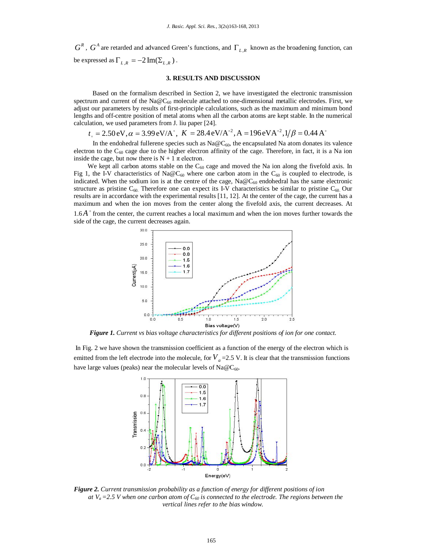$G^R$ ,  $G^A$  are retarded and advanced Green's functions, and  $\Gamma_{L,R}$  known as the broadening function, can be expressed as  $\Gamma_{L,R} = -2 \operatorname{Im}(\Sigma_{L,R})$ .

### **3. RESULTS AND DISCUSSION**

 Based on the formalism described in Section 2, we have investigated the electronic transmission spectrum and current of the Na@C<sub>60</sub> molecule attached to one-dimensional metallic electrodes. First, we adjust our parameters by results of first-principle calculations, such as the maximum and minimum bond lengths and off-centre position of metal atoms when all the carbon atoms are kept stable. In the numerical calculation, we used parameters from J. liu paper [24].

 $t_{\circ} = 2.50 \,\text{eV}, \alpha = 3.99 \,\text{eV/A}^{\,\circ}, K = 28.4 \,\text{eV/A}^{\,\circ 2}, A = 196 \,\text{eV/A}^{\,\circ 2}, 1/\beta = 0.44 \,\text{A}^{\,\circ}$ 

In the endohedral fullerene species such as  $Na@C_{60}$ , the encapsulated Na atom donates its valence electron to the  $C_{60}$  cage due to the higher electron affinity of the cage. Therefore, in fact, it is a Na ion inside the cage, but now there is  $N + 1 \pi$  electron.

We kept all carbon atoms stable on the  $C_{60}$  cage and moved the Na ion along the fivefold axis. In Fig 1, the I-V characteristics of Na@C<sub>60</sub> where one carbon atom in the C<sub>60</sub> is coupled to electrode, is indicated. When the sodium ion is at the centre of the cage,  $Na@C_{60}$  endohedral has the same electronic structure as pristine  $C_{60}$ . Therefore one can expect its I-V characteristics be similar to pristine  $C_{60}$ . Our results are in accordance with the experimental results [11, 12]. At the center of the cage, the current has a maximum and when the ion moves from the center along the fivefold axis, the current decreases. At

1.6A<sup>°</sup> from the center, the current reaches a local maximum and when the ion moves further towards the side of the cage, the current decreases again.



*Figure 1. Current vs bias voltage characteristics for different positions of ion for one contact.*

In Fig. 2 we have shown the transmission coefficient as a function of the energy of the electron which is emitted from the left electrode into the molecule, for  $V_a$  =2.5 V. It is clear that the transmission functions have large values (peaks) near the molecular levels of  $Na@C_{60}$ .



*Figure 2. Current transmission probability as a function of energy for different positions of ion at*  $V_a = 2.5$  *V* when one carbon atom of  $C_{60}$  is connected to the electrode. The regions between the *vertical lines refer to the bias window.*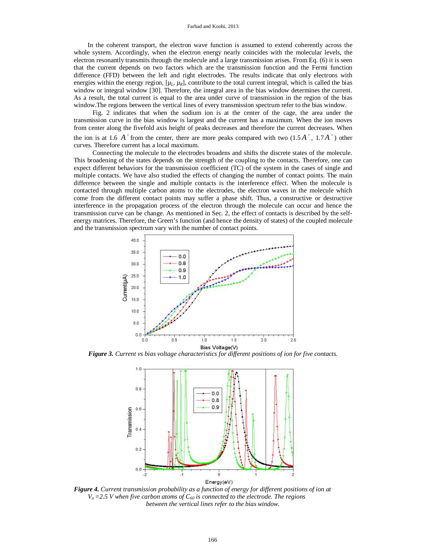In the coherent transport, the electron wave function is assumed to extend coherently across the whole system. Accordingly, when the electron energy nearly coincides with the molecular levels, the electron resonantly transmits through the molecule and a large transmission arises. From Eq. (6) it is seen that the current depends on two factors which are the transmission function and the Fermi function difference (FFD) between the left and right electrodes. The results indicate that only electrons with energies within the energy region,  $[\mu_L, \mu_R]$ , contribute to the total current integral, which is called the bias window or integral window [30]. Therefore, the integral area in the bias window determines the current. As a result, the total current is equal to the area under curve of transmission in the region of the bias window.The regions between the vertical lines of every transmission spectrum refer to the bias window.

 Fig. 2 indicates that when the sodium ion is at the center of the cage, the area under the transmission curve in the bias window is largest and the current has a maximum. When the ion moves from center along the fivefold axis height of peaks decreases and therefore the current decreases. When the ion is at 1.6  $A^{\circ}$  from the center, there are more peaks compared with two  $(1.5A^{\circ}, 1.7A^{\circ})$  other curves. Therefore current has a local maximum.

 Connecting the molecule to the electrodes broadens and shifts the discrete states of the molecule. This broadening of the states depends on the strength of the coupling to the contacts. Therefore, one can expect different behaviors for the transmission coefficient (TC) of the system in the cases of single and multiple contacts. We have also studied the effects of changing the number of contact points. The main difference between the single and multiple contacts is the interference effect. When the molecule is contacted through multiple carbon atoms to the electrodes, the electron waves in the molecule which come from the different contact points may suffer a phase shift. Thus, a constructive or destructive interference in the propagation process of the electron through the molecule can occur and hence the transmission curve can be change. As mentioned in Sec. 2, the effect of contacts is described by the selfenergy matrices. Therefore, the Green's function (and hence the density of states) of the coupled molecule and the transmission spectrum vary with the number of contact points.



*Figure 3. Current vs bias voltage characteristics for different positions of ion for five contacts.*



*Figure 4. Current transmission probability as a function of energy for different positions of ion at*   $V_a = 2.5$  *V* when five carbon atoms of  $C_{60}$  is connected to the electrode. The regions *between the vertical lines refer to the bias window.*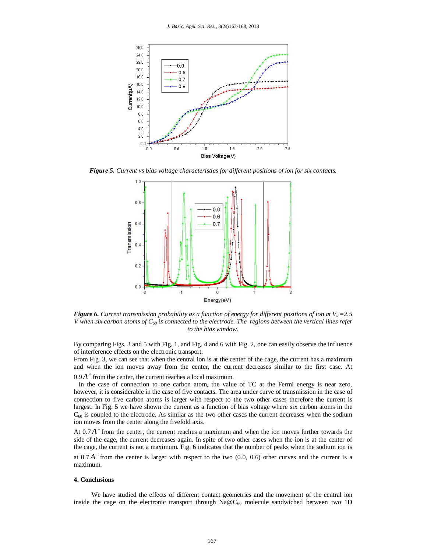

*Figure 5. Current vs bias voltage characteristics for different positions of ion for six contacts.*



*Figure 6. Current transmission probability as a function of energy for different positions of ion at* $V_a = 2.5$ *V* when six carbon atoms of  $C_{60}$  is connected to the electrode. The regions between the vertical lines refer *to the bias window.*

By comparing Figs. 3 and 5 with Fig. 1, and Fig. 4 and 6 with Fig. 2, one can easily observe the influence of interference effects on the electronic transport.

From Fig. 3, we can see that when the central ion is at the center of the cage, the current has a maximum and when the ion moves away from the center, the current decreases similar to the first case. At

 $0.9A<sup>°</sup>$  from the center, the current reaches a local maximum.

 In the case of connection to one carbon atom, the value of TC at the Fermi energy is near zero, however, it is considerable in the case of five contacts. The area under curve of transmission in the case of connection to five carbon atoms is larger with respect to the two other cases therefore the current is largest. In Fig. 5 we have shown the current as a function of bias voltage where six carbon atoms in the  $C_{60}$  is coupled to the electrode. As similar as the two other cases the current decreases when the sodium ion moves from the center along the fivefold axis.

At  $0.7A$ <sup> $\degree$ </sup> from the center, the current reaches a maximum and when the ion moves further towards the side of the cage, the current decreases again. In spite of two other cases when the ion is at the center of the cage, the current is not a maximum. Fig. 6 indicates that the number of peaks when the sodium ion is

at  $0.7A$ <sup>o</sup> from the center is larger with respect to the two  $(0.0, 0.6)$  other curves and the current is a maximum.

#### **4. Conclusions**

We have studied the effects of different contact geometries and the movement of the central ion inside the cage on the electronic transport through  $Na@C_{60}$  molecule sandwiched between two 1D